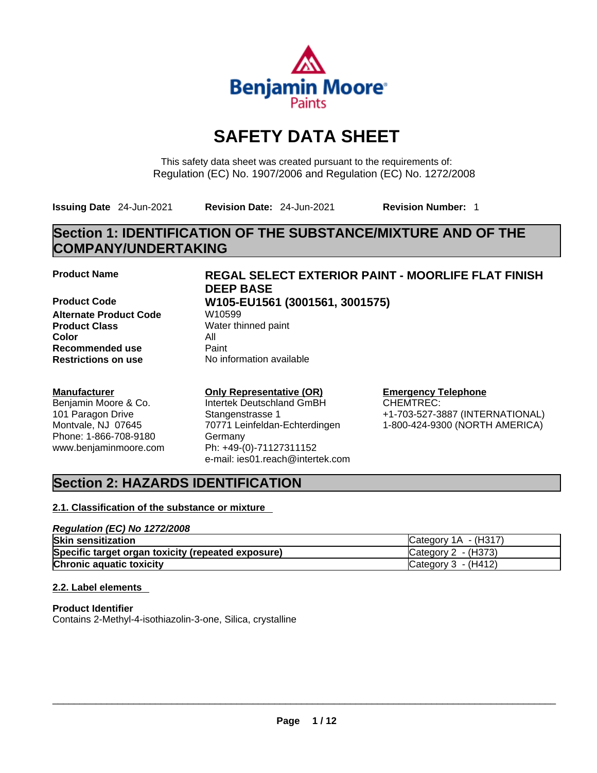

# **SAFETY DATA SHEET**

This safety data sheet was created pursuant to the requirements of: Regulation (EC) No. 1907/2006 and Regulation (EC) No. 1272/2008

**Issuing Date** 24-Jun-2021 **Revision Date:** 24-Jun-2021 **Revision Number:** 1

## **Section 1: IDENTIFICATION OF THE SUBSTANCE/MIXTURE AND OF THE COMPANY/UNDERTAKING**

**Product Code W105-EU1561 (3001561, 3001575) Alternate Product Code W10599 Product Class** Water thinned paint **Color** All **Recommended use** Paint<br> **Restrictions on use** Mo information available **Restrictions** on use

### **Manufacturer**

Benjamin Moore & Co. 101 Paragon Drive Montvale, NJ 07645 Phone: 1-866-708-9180 www.benjaminmoore.com

## **Product Name REGAL SELECT EXTERIOR PAINT - MOORLIFE FLAT FINISH DEEP BASE**

#### **Only Representative (OR)** Intertek Deutschland GmBH Stangenstrasse 1 70771 Leinfeldan-Echterdingen Germany Ph: +49-(0)-71127311152 e-mail: ies01.reach@intertek.com

## **Emergency Telephone**

CHEMTREC: +1-703-527-3887 (INTERNATIONAL) 1-800-424-9300 (NORTH AMERICA)

## **Section 2: HAZARDS IDENTIFICATION**

### **2.1. Classification of the substance or mixture**

#### *Regulation (EC) No 1272/2008* **Skin sensitization** Category 1A - (H317) **Specific target organ toxicity (repeated exposure) Category 2 - (H373) Chronic aquatic toxicity** Chronic **aquatic toxicity** Chronic **Category 3 - (H412)**

### **2.2. Label elements**

**Product Identifier** Contains 2-Methyl-4-isothiazolin-3-one, Silica, crystalline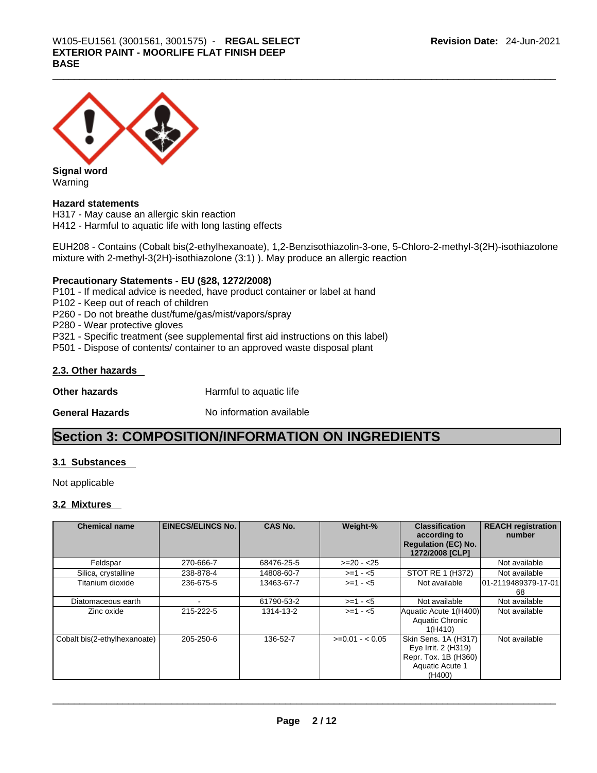

**Signal word** Warning

### **Hazard statements**

H317 - May cause an allergic skin reaction H412 - Harmful to aquatic life with long lasting effects

EUH208 - Contains (Cobalt bis(2-ethylhexanoate), 1,2-Benzisothiazolin-3-one, 5-Chloro-2-methyl-3(2H)-isothiazolone mixture with 2-methyl-3(2H)-isothiazolone (3:1) ). May produce an allergic reaction

#### **Precautionary Statements - EU (§28, 1272/2008)**

P101 - If medical advice is needed, have product container or label at hand

P102 - Keep out of reach of children

P260 - Do not breathe dust/fume/gas/mist/vapors/spray

P280 - Wear protective gloves

P321 - Specific treatment (see supplemental first aid instructions on this label)

P501 - Dispose of contents/ container to an approved waste disposal plant

#### **2.3. Other hazards**

**Other hazards Harmful to aquatic life** 

**General Hazards No information available** 

## **Section 3: COMPOSITION/INFORMATION ON INGREDIENTS**

#### **3.1 Substances**

Not applicable

#### **3.2 Mixtures**

| <b>Chemical name</b>         | <b>EINECS/ELINCS No.</b> | <b>CAS No.</b> | Weight-%        | <b>Classification</b><br>according to<br><b>Regulation (EC) No.</b><br>1272/2008 [CLP]           | <b>REACH registration</b><br>number |
|------------------------------|--------------------------|----------------|-----------------|--------------------------------------------------------------------------------------------------|-------------------------------------|
| Feldspar                     | 270-666-7                | 68476-25-5     | $>=20 - 25$     |                                                                                                  | Not available                       |
| Silica, crystalline          | 238-878-4                | 14808-60-7     | $>=1 - 5$       | STOT RE 1 (H372)                                                                                 | Not available                       |
| Titanium dioxide             | 236-675-5                | 13463-67-7     | $>=1 - 5$       | Not available                                                                                    | 101-2119489379-17-01<br>68          |
| Diatomaceous earth           |                          | 61790-53-2     | $>= 1 - 5$      | Not available                                                                                    | Not available                       |
| Zinc oxide                   | 215-222-5                | 1314-13-2      | $>=1 - 5$       | Aquatic Acute 1(H400)<br>Aquatic Chronic<br>1(H410)                                              | Not available                       |
| Cobalt bis(2-ethylhexanoate) | 205-250-6                | 136-52-7       | $>=0.01 - 0.05$ | Skin Sens. 1A (H317)<br>Eye Irrit. 2 (H319)<br>Repr. Tox. 1B (H360)<br>Aquatic Acute 1<br>(H400) | Not available                       |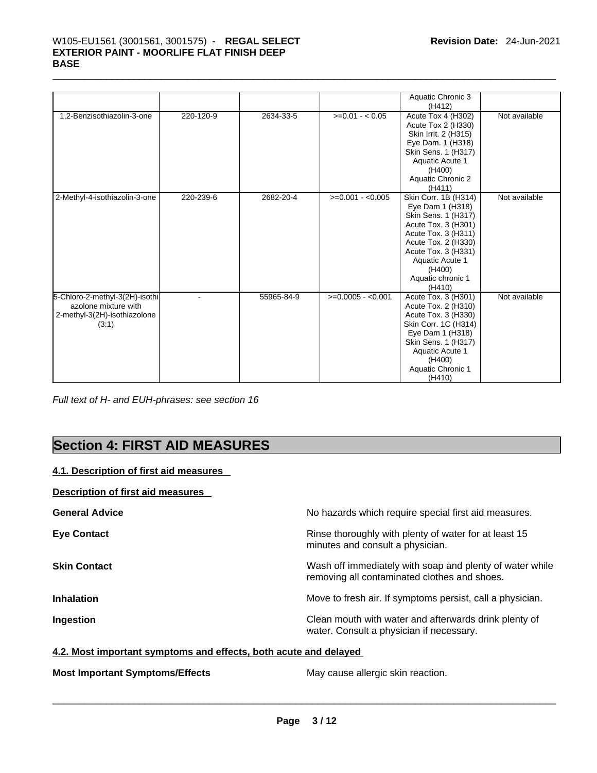## \_\_\_\_\_\_\_\_\_\_\_\_\_\_\_\_\_\_\_\_\_\_\_\_\_\_\_\_\_\_\_\_\_\_\_\_\_\_\_\_\_\_\_\_\_\_\_\_\_\_\_\_\_\_\_\_\_\_\_\_\_\_\_\_\_\_\_\_\_\_\_\_\_\_\_\_\_\_\_\_\_\_\_\_\_\_\_\_\_\_\_\_\_ W105-EU1561 (3001561, 3001575) - **REGAL SELECT EXTERIOR PAINT - MOORLIFE FLAT FINISH DEEP BASE**

|                                                                                                 |           |            |                    | Aquatic Chronic 3<br>(H412)                                                                                                                                                                                             |               |
|-------------------------------------------------------------------------------------------------|-----------|------------|--------------------|-------------------------------------------------------------------------------------------------------------------------------------------------------------------------------------------------------------------------|---------------|
| 1,2-Benzisothiazolin-3-one                                                                      | 220-120-9 | 2634-33-5  | $>=0.01 - <0.05$   | Acute Tox 4 (H302)<br>Acute Tox 2 (H330)<br>Skin Irrit. 2 (H315)<br>Eye Dam. 1 (H318)<br>Skin Sens. 1 (H317)<br>Aquatic Acute 1<br>(H400)<br><b>Aquatic Chronic 2</b><br>(H411)                                         | Not available |
| 2-Methyl-4-isothiazolin-3-one                                                                   | 220-239-6 | 2682-20-4  | $>=0.001 - 0.005$  | Skin Corr. 1B (H314)<br>Eye Dam 1 (H318)<br>Skin Sens. 1 (H317)<br>Acute Tox. 3 (H301)<br>Acute Tox. 3 (H311)<br>Acute Tox. 2 (H330)<br>Acute Tox. 3 (H331)<br>Aquatic Acute 1<br>(H400)<br>Aquatic chronic 1<br>(H410) | Not available |
| 5-Chloro-2-methyl-3(2H)-isothi<br>azolone mixture with<br>2-methyl-3(2H)-isothiazolone<br>(3:1) |           | 55965-84-9 | $>=0.0005 - 0.001$ | Acute Tox. 3 (H301)<br>Acute Tox. 2 (H310)<br>Acute Tox. 3 (H330)<br>Skin Corr. 1C (H314)<br>Eye Dam 1 (H318)<br>Skin Sens. 1 (H317)<br>Aquatic Acute 1<br>(H400)<br>Aquatic Chronic 1<br>(H410)                        | Not available |

*Full text of H- and EUH-phrases: see section 16* 

## **Section 4: FIRST AID MEASURES**

### **4.1. Description of first aid measures**

### **Description of first aid measures**

| <b>General Advice</b> | No hazards which require special first aid measures.                                                     |
|-----------------------|----------------------------------------------------------------------------------------------------------|
| <b>Eye Contact</b>    | Rinse thoroughly with plenty of water for at least 15<br>minutes and consult a physician.                |
| <b>Skin Contact</b>   | Wash off immediately with soap and plenty of water while<br>removing all contaminated clothes and shoes. |
| <b>Inhalation</b>     | Move to fresh air. If symptoms persist, call a physician.                                                |
| Ingestion             | Clean mouth with water and afterwards drink plenty of<br>water. Consult a physician if necessary.        |

### **4.2. Most important symptoms and effects, both acute and delayed**

**Most Important Symptoms/Effects** May cause allergic skin reaction. \_\_\_\_\_\_\_\_\_\_\_\_\_\_\_\_\_\_\_\_\_\_\_\_\_\_\_\_\_\_\_\_\_\_\_\_\_\_\_\_\_\_\_\_\_\_\_\_\_\_\_\_\_\_\_\_\_\_\_\_\_\_\_\_\_\_\_\_\_\_\_\_\_\_\_\_\_\_\_\_\_\_\_\_\_\_\_\_\_\_\_\_\_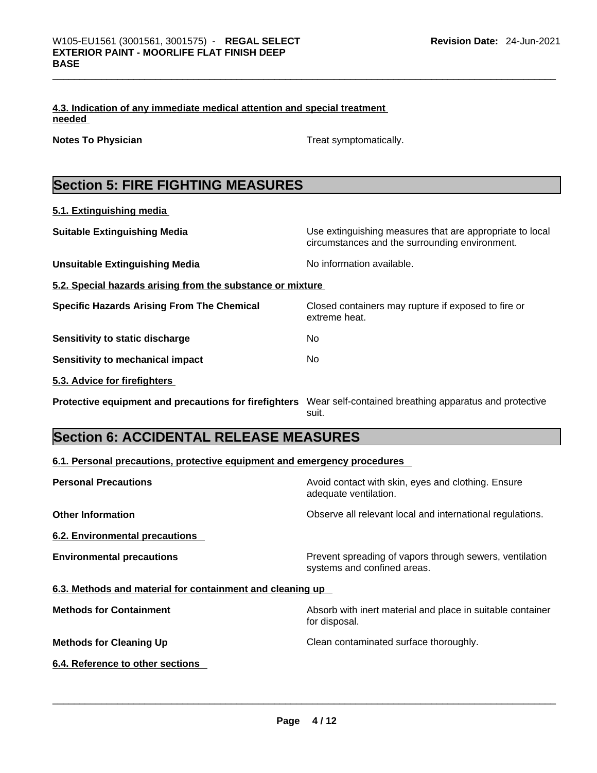|        | 4.3. Indication of any immediate medical attention and special treatment |  |
|--------|--------------------------------------------------------------------------|--|
| needed |                                                                          |  |

**Notes To Physician Treat symptomatically.** 

## **Section 5: FIRE FIGHTING MEASURES**

| 5.1. Extinguishing media                                   |                                                                                                            |
|------------------------------------------------------------|------------------------------------------------------------------------------------------------------------|
| <b>Suitable Extinguishing Media</b>                        | Use extinguishing measures that are appropriate to local<br>circumstances and the surrounding environment. |
| <b>Unsuitable Extinguishing Media</b>                      | No information available.                                                                                  |
| 5.2. Special hazards arising from the substance or mixture |                                                                                                            |
| <b>Specific Hazards Arising From The Chemical</b>          | Closed containers may rupture if exposed to fire or<br>extreme heat.                                       |
| Sensitivity to static discharge                            | No                                                                                                         |
| Sensitivity to mechanical impact                           | No.                                                                                                        |
| 5.3. Advice for firefighters                               |                                                                                                            |
| Protective equipment and precautions for firefighters      | Wear self-contained breathing apparatus and protective<br>suit.                                            |

## **Section 6: ACCIDENTAL RELEASE MEASURES**

### **6.1. Personal precautions, protective equipment and emergency procedures**

| <b>Personal Precautions</b>                               | Avoid contact with skin, eyes and clothing. Ensure<br>adequate ventilation.            |
|-----------------------------------------------------------|----------------------------------------------------------------------------------------|
| <b>Other Information</b>                                  | Observe all relevant local and international regulations.                              |
| 6.2. Environmental precautions                            |                                                                                        |
| <b>Environmental precautions</b>                          | Prevent spreading of vapors through sewers, ventilation<br>systems and confined areas. |
| 6.3. Methods and material for containment and cleaning up |                                                                                        |
| <b>Methods for Containment</b>                            | Absorb with inert material and place in suitable container<br>for disposal.            |
| <b>Methods for Cleaning Up</b>                            | Clean contaminated surface thoroughly.                                                 |
| 6.4. Reference to other sections                          |                                                                                        |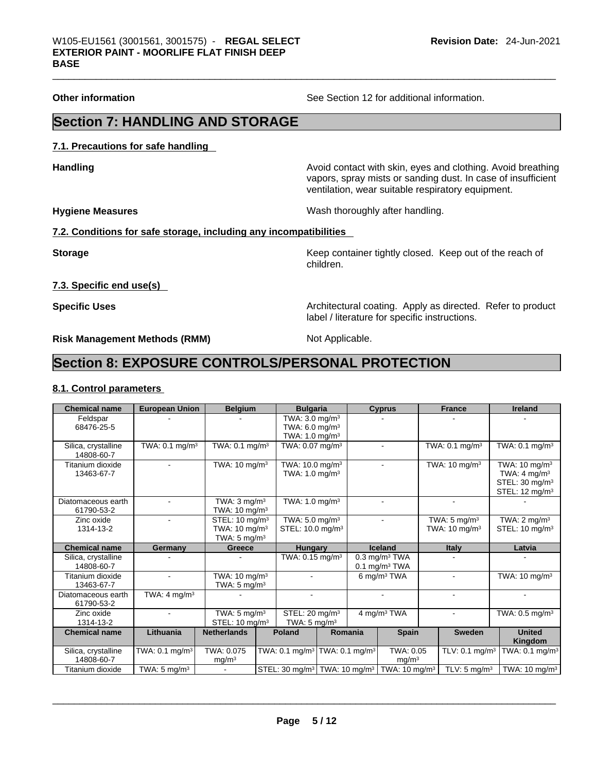**Other information** See Section 12 for additional information.

## **Section 7: HANDLING AND STORAGE**

**7.1. Precautions for safe handling** 

**Handling Handling Avoid contact with skin, eyes and clothing. Avoid breathing** vapors, spray mists or sanding dust. In case of insufficient ventilation, wear suitable respiratory equipment.

**Hygiene Measures** Wash thoroughly after handling.

#### **7.2. Conditions for safe storage, including any incompatibilities**

**Storage Keep container tightly closed. Keep out of the reach of the reach of the reach of the reach of the reach of the reach of the reach of the reach of the reach of the reach of the reach of the reach of the reach of** children.

**7.3. Specific end use(s)** 

**Specific Uses <b>Specific Uses Architectural coating. Apply as directed. Refer to product Specific Uses** label / literature for specific instructions.

**Risk Management Methods (RMM)** Not Applicable.

## **Section 8: EXPOSURE CONTROLS/PERSONAL PROTECTION**

#### **8.1. Control parameters**

| <b>Chemical name</b>              | <b>European Union</b>      | <b>Belgium</b>                                                                    |                                                                    | <b>Bulgaria</b>                                                                       |         | <b>Cyprus</b>                                              | <b>France</b>                                       | <b>Ireland</b>                                                                                                 |
|-----------------------------------|----------------------------|-----------------------------------------------------------------------------------|--------------------------------------------------------------------|---------------------------------------------------------------------------------------|---------|------------------------------------------------------------|-----------------------------------------------------|----------------------------------------------------------------------------------------------------------------|
| Feldspar<br>68476-25-5            |                            |                                                                                   |                                                                    | TWA: $3.0 \text{ mg/m}^3$<br>TWA: 6.0 mg/m <sup>3</sup><br>TWA: 1.0 mg/m <sup>3</sup> |         |                                                            |                                                     |                                                                                                                |
| Silica, crystalline<br>14808-60-7 | TWA: 0.1 mg/m <sup>3</sup> | TWA: $0.1$ mg/m <sup>3</sup>                                                      |                                                                    | TWA: 0.07 mg/m <sup>3</sup>                                                           |         |                                                            | TWA: 0.1 mg/m <sup>3</sup>                          | TWA: $0.1 \text{ mg/m}^3$                                                                                      |
| Titanium dioxide<br>13463-67-7    |                            | TWA: $10 \text{ mg/m}^3$                                                          |                                                                    | TWA: 10.0 mg/m <sup>3</sup><br>TWA: $1.0 \text{ mg/m}^3$                              |         |                                                            | TWA: $10 \text{ mg/m}^3$                            | TWA: $10 \text{ mg/m}^3$<br>TWA: $4 \text{ mg/m}^3$<br>STEL: 30 mg/m <sup>3</sup><br>STEL: $12 \text{ mg/m}^3$ |
| Diatomaceous earth<br>61790-53-2  |                            | TWA: $3 \text{ mg/m}^3$<br>TWA: $10 \text{ mg/m}^3$                               |                                                                    | TWA: $1.0 \text{ mg/m}^3$                                                             |         |                                                            |                                                     |                                                                                                                |
| Zinc oxide<br>1314-13-2           |                            | STEL: 10 mg/m <sup>3</sup><br>TWA: $10 \text{ mg/m}^3$<br>TWA: $5 \text{ mg/m}^3$ |                                                                    | TWA: 5.0 mg/m <sup>3</sup><br>STEL: 10.0 mg/m <sup>3</sup>                            |         |                                                            | TWA: $5 \text{ mg/m}^3$<br>TWA: $10 \text{ mg/m}^3$ | $\overline{\text{TWA}: 2 \text{ mg}}/\text{m}^3$<br>STEL: 10 mg/m <sup>3</sup>                                 |
| <b>Chemical name</b>              | Germany                    | <b>Greece</b>                                                                     |                                                                    | <b>Hungary</b>                                                                        |         | <b>Iceland</b>                                             | <b>Italy</b>                                        | Latvia                                                                                                         |
| Silica, crystalline<br>14808-60-7 |                            |                                                                                   |                                                                    | TWA: 0.15 mg/m <sup>3</sup>                                                           |         | $0.3$ mg/m <sup>3</sup> TWA<br>$0.1$ mg/m <sup>3</sup> TWA |                                                     |                                                                                                                |
| Titanium dioxide<br>13463-67-7    |                            | TWA: $10 \text{ mg/m}^3$<br>TWA: $5 \text{ mg/m}^3$                               |                                                                    |                                                                                       |         | 6 mg/m $3$ TWA                                             |                                                     | TWA: $10 \text{ mg/m}^3$                                                                                       |
| Diatomaceous earth<br>61790-53-2  | TWA: $4 \text{ mg/m}^3$    |                                                                                   |                                                                    |                                                                                       |         |                                                            |                                                     |                                                                                                                |
| Zinc oxide<br>1314-13-2           |                            | TWA: $5 \text{ mg/m}^3$<br>STEL: $10 \text{ mg/m}^3$                              |                                                                    | STEL: 20 mg/m <sup>3</sup><br>TWA: $5 \text{ mg/m}^3$                                 |         | 4 mg/m <sup>3</sup> TWA                                    | $\sim$                                              | TWA: 0.5 mg/m <sup>3</sup>                                                                                     |
| <b>Chemical name</b>              | Lithuania                  | <b>Netherlands</b>                                                                | Poland                                                             |                                                                                       | Romania | <b>Spain</b>                                               | <b>Sweden</b>                                       | <b>United</b><br>Kingdom                                                                                       |
| Silica, crystalline<br>14808-60-7 | TWA: $0.1 \text{ mg/m}^3$  | TWA: 0.075<br>mg/m <sup>3</sup>                                                   | TWA: 0.1 mg/m <sup>3</sup> TWA: $0.\overline{1}$ mg/m <sup>3</sup> |                                                                                       |         | TWA: 0.05<br>mg/m <sup>3</sup>                             | TLV: $0.1$ mg/m <sup>3</sup>                        | TWA: $0.1$ mg/m <sup>3</sup>                                                                                   |
|                                   |                            |                                                                                   |                                                                    |                                                                                       |         |                                                            |                                                     |                                                                                                                |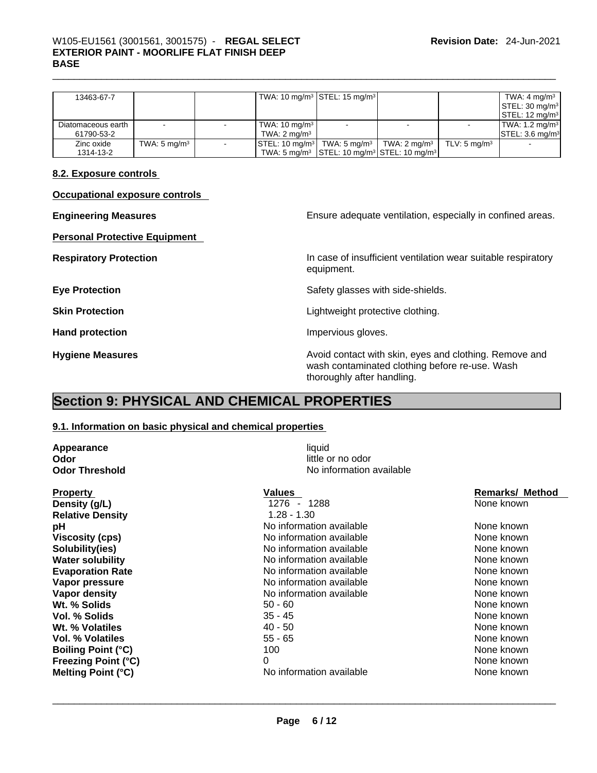## \_\_\_\_\_\_\_\_\_\_\_\_\_\_\_\_\_\_\_\_\_\_\_\_\_\_\_\_\_\_\_\_\_\_\_\_\_\_\_\_\_\_\_\_\_\_\_\_\_\_\_\_\_\_\_\_\_\_\_\_\_\_\_\_\_\_\_\_\_\_\_\_\_\_\_\_\_\_\_\_\_\_\_\_\_\_\_\_\_\_\_\_\_ W105-EU1561 (3001561, 3001575) - **REGAL SELECT EXTERIOR PAINT - MOORLIFE FLAT FINISH DEEP BASE**

| 13463-67-7         |                         |                                                            | TWA: 10 mg/m <sup>3</sup> STEL: 15 mg/m <sup>3</sup>                           |                         |                         | TWA: $4 \text{ mg/m}^3$                                      |
|--------------------|-------------------------|------------------------------------------------------------|--------------------------------------------------------------------------------|-------------------------|-------------------------|--------------------------------------------------------------|
|                    |                         |                                                            |                                                                                |                         |                         | $\left\lfloor \text{STEL: } 30 \text{ mg/m}^3 \right\rfloor$ |
|                    |                         |                                                            |                                                                                |                         |                         | $\left\lfloor \text{STEL: 12 mg/m}^3 \right\rfloor$          |
| Diatomaceous earth |                         | TWA: 10 mg/m <sup>3</sup>                                  |                                                                                |                         |                         | $\textsf{TWA: } 1.2 \textsf{mq/m}^3$                         |
| 61790-53-2         |                         | TWA: 2 mg/m $3$                                            |                                                                                |                         |                         | $\textsf{ISTEL: 3.6}\textsf{mq/m}^3$                         |
| Zinc oxide         | TWA: $5 \text{ mg/m}^3$ | $\textsf{STEL: 10}\text{ mg/m}^3$ TWA: 5 mg/m <sup>3</sup> |                                                                                | TWA: $2 \text{ mg/m}^3$ | TLV: $5 \text{ mg/m}^3$ |                                                              |
| 1314-13-2          |                         |                                                            | TWA: 5 mg/m <sup>3</sup> STEL: 10 mg/m <sup>3</sup> STEL: 10 mg/m <sup>3</sup> |                         |                         |                                                              |

#### **8.2. Exposure controls**

| <b>Occupational exposure controls</b> |
|---------------------------------------|
|---------------------------------------|

**Personal Protective Equipment** 

**Engineering Measures Ensure** Ensure adequate ventilation, especially in confined areas.

**Respiratory Protection In case of insufficient ventilation wear suitable respiratory** equipment.

**Eye Protection <b>Exercise Eye** Protection **Safety glasses with side-shields.** 

**Skin Protection Contract Contract Exercise Contract Contract Lightweight protective clothing.** 

Hand protection **Impervious** gloves.

**Hygiene Measures Avoid contact with skin, eyes and clothing. Remove and Hygiene Measures Avoid contact with skin, eyes and clothing. Remove and** wash contaminated clothing before re-use. Wash thoroughly after handling.

## **Section 9: PHYSICAL AND CHEMICAL PROPERTIES**

#### **9.1. Information on basic physical and chemical properties**

| <b>Appearance</b>          | liquid                    |                        |
|----------------------------|---------------------------|------------------------|
| Odor                       | little or no odor         |                        |
| <b>Odor Threshold</b>      | No information available  |                        |
| <b>Property</b>            | <b>Values</b>             | <b>Remarks/ Method</b> |
| Density (g/L)              | 1276<br>1288<br>$\sim 10$ | None known             |
| <b>Relative Density</b>    | $1.28 - 1.30$             |                        |
| рH                         | No information available  | None known             |
| <b>Viscosity (cps)</b>     | No information available  | None known             |
| Solubility(ies)            | No information available  | None known             |
| <b>Water solubility</b>    | No information available  | None known             |
| <b>Evaporation Rate</b>    | No information available  | None known             |
| Vapor pressure             | No information available  | None known             |
| Vapor density              | No information available  | None known             |
| Wt. % Solids               | $50 - 60$                 | None known             |
| Vol. % Solids              | $35 - 45$                 | None known             |
| Wt. % Volatiles            | $40 - 50$                 | None known             |
| <b>Vol. % Volatiles</b>    | $55 - 65$                 | None known             |
| <b>Boiling Point (°C)</b>  | 100                       | None known             |
| <b>Freezing Point (°C)</b> | $\Omega$                  | None known             |
| <b>Melting Point (°C)</b>  | No information available  | None known             |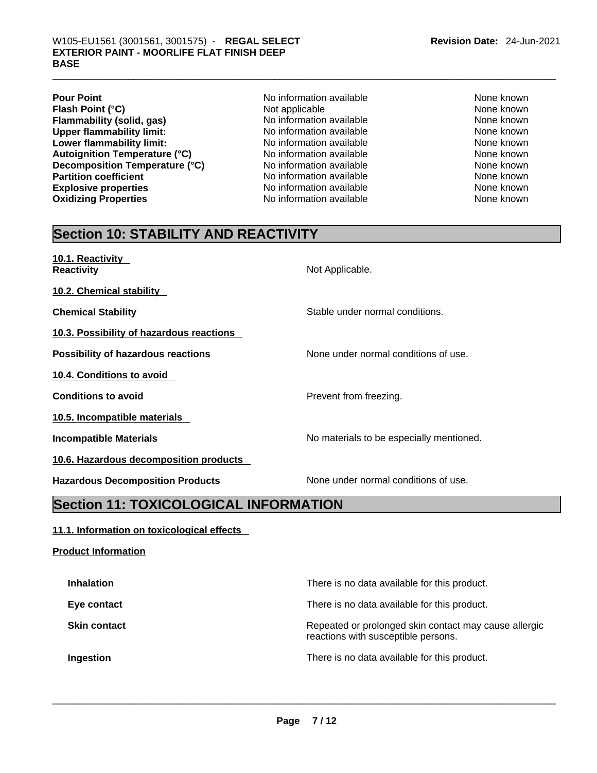- **Pour Point Pour Point No information available None known None known Flash Point (°C) Communist Communist Exercise Secure 20 and None Known**<br> **Flammability (solid. gas) None Known** No information available **Communist Communist Communist Communist Communist Communist Communist Communist Flammability (solid, gas)** No information available None known None known **Upper flammability limit:** No information available None known None known **Lower flammability limit:** No information available None known None known **Autoignition Temperature (°C)** No information available None known **Decomposition Temperature (°C)** Moinformation available Mone None known<br>
No information available None Known None known **Explosive properties** The Mone of the Mone of None Known None known None known None known **Oxidizing Properties No information available** None known
	- **No information available**
- **Revision Date:** 24-Jun-2021
	-

## **Section 10: STABILITY AND REACTIVITY**

**10.1. Reactivity Reactivity Not Applicable. Not Applicable. Not Applicable.** 

**10.2. Chemical stability** 

**Chemical Stability** Stable under normal conditions.

**10.3. Possibility of hazardous reactions** 

**10.4. Conditions to avoid** 

**10.5. Incompatible materials** 

**10.6. Hazardous decomposition products** 

**Hazardous Decomposition Products** None under normal conditions of use.

**Possibility of hazardous reactions** None under normal conditions of use.

**Conditions to avoid Prevent from freezing.** 

**Incompatible Materials No materials** No materials to be especially mentioned.

## **Section 11: TOXICOLOGICAL INFORMATION**

### **11.1. Information on toxicological effects**

**Product Information Inhalation Inhalation There is no data available for this product. Eye contact <b>Exercise Exercise Exercise** There is no data available for this product. **Skin contact** Repeated or prolonged skin contact may cause allergic reactions with susceptible persons. **Ingestion Ingestion Intervention There** is no data available for this product.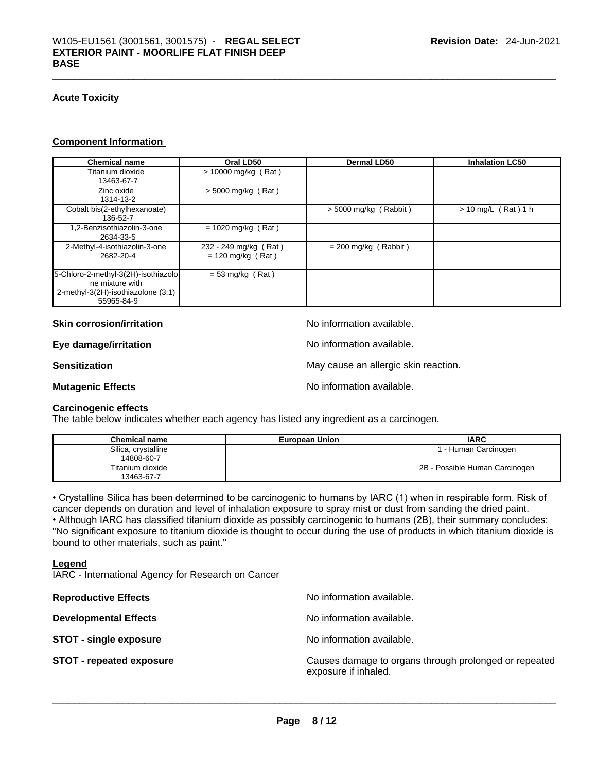#### **Acute Toxicity**

#### **Component Information**

| <b>Chemical name</b>                                                                                       | Oral LD50                                    | Dermal LD50             | <b>Inhalation LC50</b> |
|------------------------------------------------------------------------------------------------------------|----------------------------------------------|-------------------------|------------------------|
| Titanium dioxide<br>13463-67-7                                                                             | $> 10000$ mg/kg (Rat)                        |                         |                        |
| Zinc oxide<br>1314-13-2                                                                                    | $> 5000$ mg/kg (Rat)                         |                         |                        |
| Cobalt bis(2-ethylhexanoate)<br>136-52-7                                                                   |                                              | $>$ 5000 mg/kg (Rabbit) | $> 10$ mg/L (Rat) 1 h  |
| 1,2-Benzisothiazolin-3-one<br>2634-33-5                                                                    | $= 1020$ mg/kg (Rat)                         |                         |                        |
| 2-Methyl-4-isothiazolin-3-one<br>2682-20-4                                                                 | 232 - 249 mg/kg (Rat)<br>$= 120$ mg/kg (Rat) | $= 200$ mg/kg (Rabbit)  |                        |
| 5-Chloro-2-methyl-3(2H)-isothiazolo<br>ne mixture with<br>2-methyl-3(2H)-isothiazolone (3:1)<br>55965-84-9 | $= 53$ mg/kg (Rat)                           |                         |                        |

**Skin corrosion/irritation** available.

**Eye damage/irritation Eye damage/irritation No information available.** 

**Sensitization May cause an allergic skin reaction.** May cause an allergic skin reaction.

**Mutagenic Effects Mutagenic Effects No information available.** 

#### **Carcinogenic effects**

The table below indicates whether each agency has listed any ingredient as a carcinogen.

| <b>Chemical name</b>              | <b>European Union</b> | <b>IARC</b>                    |
|-----------------------------------|-----------------------|--------------------------------|
| Silica, crystalline<br>14808-60-7 |                       | 1 - Human Carcinogen           |
| Titanium dioxide<br>13463-67-7    |                       | 2B - Possible Human Carcinogen |

• Crystalline Silica has been determined to be carcinogenic to humans by IARC (1) when in respirable form. Risk of cancer depends on duration and level of inhalation exposure to spray mist or dust from sanding the dried paint.• Although IARC has classified titanium dioxide as possibly carcinogenic to humans (2B), their summary concludes: "No significant exposure to titanium dioxide is thought to occur during the use of products in which titanium dioxide is bound to other materials, such as paint."

#### **Legend**

IARC - International Agency for Research on Cancer

| <b>Reproductive Effects</b>     | No information available.                                                     |
|---------------------------------|-------------------------------------------------------------------------------|
| <b>Developmental Effects</b>    | No information available.                                                     |
| <b>STOT - single exposure</b>   | No information available.                                                     |
| <b>STOT - repeated exposure</b> | Causes damage to organs through prolonged or repeated<br>exposure if inhaled. |
|                                 |                                                                               |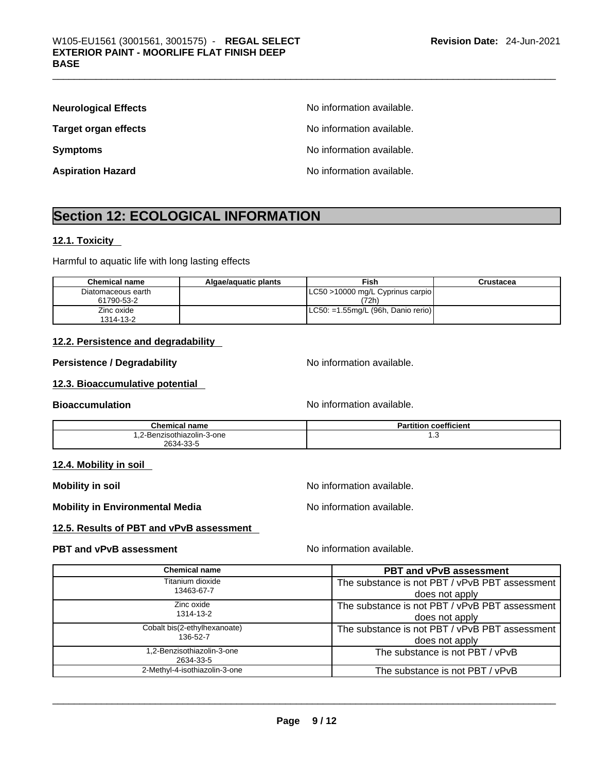| <b>Neurological Effects</b> | No information available. |
|-----------------------------|---------------------------|
| <b>Target organ effects</b> | No information available. |
| <b>Symptoms</b>             | No information available. |
| <b>Aspiration Hazard</b>    | No information available. |

## **Section 12: ECOLOGICAL INFORMATION**

#### **12.1. Toxicity**

Harmful to aquatic life with long lasting effects

| <b>Chemical name</b>             | Algae/aguatic plants | <b>Fish</b>                               | Crustacea |
|----------------------------------|----------------------|-------------------------------------------|-----------|
| Diatomaceous earth<br>61790-53-2 |                      | LC50 >10000 mg/L Cyprinus carpio<br>(72h) |           |
| Zinc oxide<br>1314-13-2          |                      | $ $ LC50: =1.55mg/L (96h, Danio rerio)    |           |

### **12.2. Persistence and degradability**

#### **Persistence / Degradability** No information available.

#### **12.3. Bioaccumulative potential**

**Bioaccumulation No information available.** 

| <b>Chemical name</b>       | <b>Partition coefficient</b> |
|----------------------------|------------------------------|
| 1.2-Benzisothiazolin-3-one | ن. ا                         |
| 2634-33-5                  |                              |

#### **12.4. Mobility in soil**

**Mobility in soil Mobility in soil Mobility in soil** 

**Mobility in Environmental Media** Noinformation available.

#### **12.5. Results of PBT and vPvB assessment**

### **PBT** and **vPvB** assessment **Notify Apple 2012** No information available.

| Chemical name                           | <b>PBT and vPvB assessment</b>                 |
|-----------------------------------------|------------------------------------------------|
| Titanium dioxide                        | The substance is not PBT / vPvB PBT assessment |
| 13463-67-7                              | does not apply                                 |
| Zinc oxide                              | The substance is not PBT / vPvB PBT assessment |
| 1314-13-2                               | does not apply                                 |
| Cobalt bis(2-ethylhexanoate)            | The substance is not PBT / vPvB PBT assessment |
| 136-52-7                                | does not apply                                 |
| 1,2-Benzisothiazolin-3-one<br>2634-33-5 | The substance is not PBT / vPvB                |
| 2-Methyl-4-isothiazolin-3-one           | The substance is not PBT / vPvB                |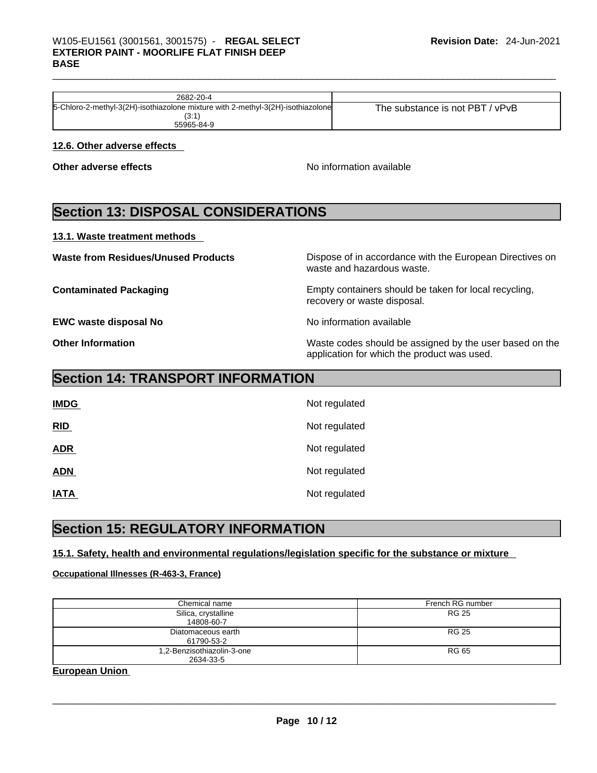| 2682-20-4                                                                       |                                      |
|---------------------------------------------------------------------------------|--------------------------------------|
| 5-Chloro-2-methyl-3(2H)-isothiazolone mixture with 2-methyl-3(2H)-isothiazolone | / vPvB<br>The substance is not PBT / |
| ιυ.                                                                             |                                      |
| 55965-84-9                                                                      |                                      |

#### **12.6. Other adverse effects**

**Other adverse effects No information available** 

## **Section 13: DISPOSAL CONSIDERATIONS**

#### **13.1. Waste treatment methods**

**EWC waste disposal No** <br>No information available

**Waste from Residues/Unused Products** Dispose of in accordance with the European Directives on waste and hazardous waste.

**Contaminated Packaging Empty containers should be taken for local recycling,** recovery or waste disposal.

**Other Information Other Information Internation Waste codes should be assigned by the user based on the** application for which the product was used.

## **Section 14: TRANSPORT INFORMATION**

| <b>IMDG</b> | Not regulated |
|-------------|---------------|
| RID         | Not regulated |
| <b>ADR</b>  | Not regulated |
| <b>ADN</b>  | Not regulated |
| <b>IATA</b> | Not regulated |

## **Section 15: REGULATORY INFORMATION**

### **15.1. Safety, health and environmental regulations/legislation specific for the substance or mixture**

#### **Occupational Illnesses (R-463-3, France)**

| Chemical name              | French RG number |
|----------------------------|------------------|
| Silica, crystalline        | <b>RG 25</b>     |
| 14808-60-7                 |                  |
| Diatomaceous earth         | RG 25            |
| 61790-53-2                 |                  |
| 1,2-Benzisothiazolin-3-one | RG 65            |
| 2634-33-5                  |                  |

**European Union**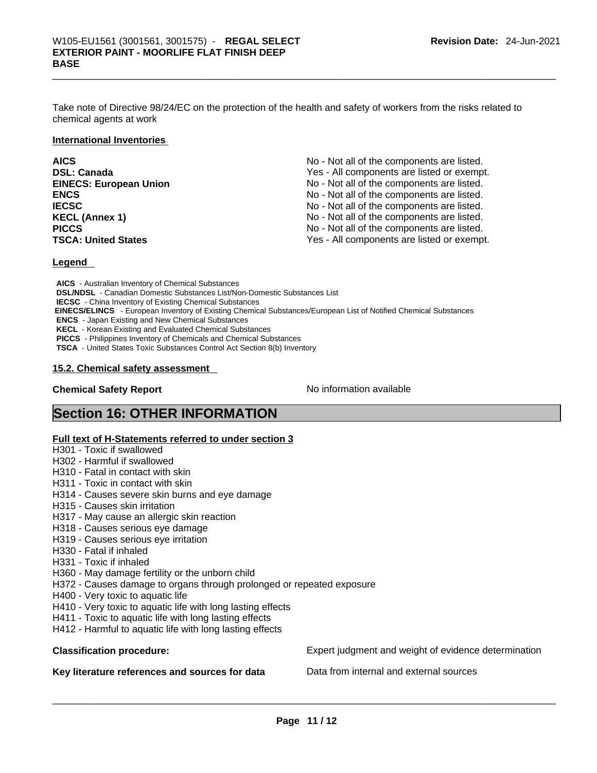Take note of Directive 98/24/EC on the protection of the health and safety of workers from the risks related to chemical agents at work

#### **International Inventories**

| <b>AICS</b>                   | No - Not all of the components are listed. |
|-------------------------------|--------------------------------------------|
| <b>DSL: Canada</b>            | Yes - All components are listed or exempt. |
| <b>EINECS: European Union</b> | No - Not all of the components are listed. |
| <b>ENCS</b>                   | No - Not all of the components are listed. |
| <b>IECSC</b>                  | No - Not all of the components are listed. |
| <b>KECL (Annex 1)</b>         | No - Not all of the components are listed. |
| <b>PICCS</b>                  | No - Not all of the components are listed. |
| <b>TSCA: United States</b>    | Yes - All components are listed or exempt. |

#### **Legend**

**AICS** - Australian Inventory of Chemical Substances **DSL/NDSL** - Canadian Domestic Substances List/Non-Domestic Substances List **IECSC** - China Inventory of Existing Chemical Substances  **EINECS/ELINCS** - European Inventory of Existing Chemical Substances/European List of Notified Chemical Substances **ENCS** - Japan Existing and New Chemical Substances **KECL** - Korean Existing and Evaluated Chemical Substances **PICCS** - Philippines Inventory of Chemicals and Chemical Substances **TSCA** - United States Toxic Substances Control Act Section 8(b) Inventory

#### **15.2. Chemical safety assessment**

#### **Chemical Safety Report Chemical Safety Report No information available**

## **Section 16: OTHER INFORMATION**

#### **Full text of H-Statements referred to under section 3**

- H301 Toxic if swallowed
- H302 Harmful if swallowed
- H310 Fatal in contact with skin
- H311 Toxic in contact with skin
- H314 Causes severe skin burns and eye damage
- H315 Causes skin irritation
- H317 May cause an allergic skin reaction
- H318 Causes serious eye damage
- H319 Causes serious eye irritation
- H330 Fatal if inhaled
- H331 Toxic if inhaled
- H360 May damage fertility or the unborn child
- H372 Causes damage to organs through prolonged or repeated exposure
- H400 Very toxic to aquatic life
- H410 Very toxic to aquatic life with long lasting effects
- H411 Toxic to aquatic life with long lasting effects
- H412 Harmful to aquatic life with long lasting effects

#### Key literature references and sources for data Data from internal and external sources

**Classification procedure:** Expert judgment and weight of evidence determination